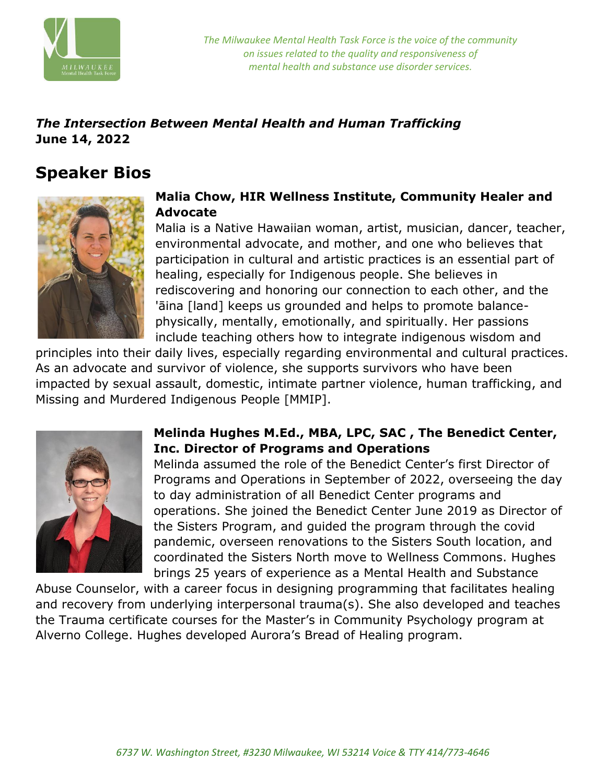

*The Milwaukee Mental Health Task Force is the voice of the community on issues related to the quality and responsiveness of mental health and substance use disorder services.*

## *The Intersection Between Mental Health and Human Trafficking* **June 14, 2022**

# **Speaker Bios**



#### **Malia Chow, HIR Wellness Institute, Community Healer and Advocate**

Malia is a Native Hawaiian woman, artist, musician, dancer, teacher, environmental advocate, and mother, and one who believes that participation in cultural and artistic practices is an essential part of healing, especially for Indigenous people. She believes in rediscovering and honoring our connection to each other, and the 'āina [land] keeps us grounded and helps to promote balancephysically, mentally, emotionally, and spiritually. Her passions include teaching others how to integrate indigenous wisdom and

principles into their daily lives, especially regarding environmental and cultural practices. As an advocate and survivor of violence, she supports survivors who have been impacted by sexual assault, domestic, intimate partner violence, human trafficking, and Missing and Murdered Indigenous People [MMIP].



### **Melinda Hughes M.Ed., MBA, LPC, SAC , The Benedict Center, Inc. Director of Programs and Operations**

Melinda assumed the role of the Benedict Center's first Director of Programs and Operations in September of 2022, overseeing the day to day administration of all Benedict Center programs and operations. She joined the Benedict Center June 2019 as Director of the Sisters Program, and guided the program through the covid pandemic, overseen renovations to the Sisters South location, and coordinated the Sisters North move to Wellness Commons. Hughes brings 25 years of experience as a Mental Health and Substance

Abuse Counselor, with a career focus in designing programming that facilitates healing and recovery from underlying interpersonal trauma(s). She also developed and teaches the Trauma certificate courses for the Master's in Community Psychology program at Alverno College. Hughes developed Aurora's Bread of Healing program.